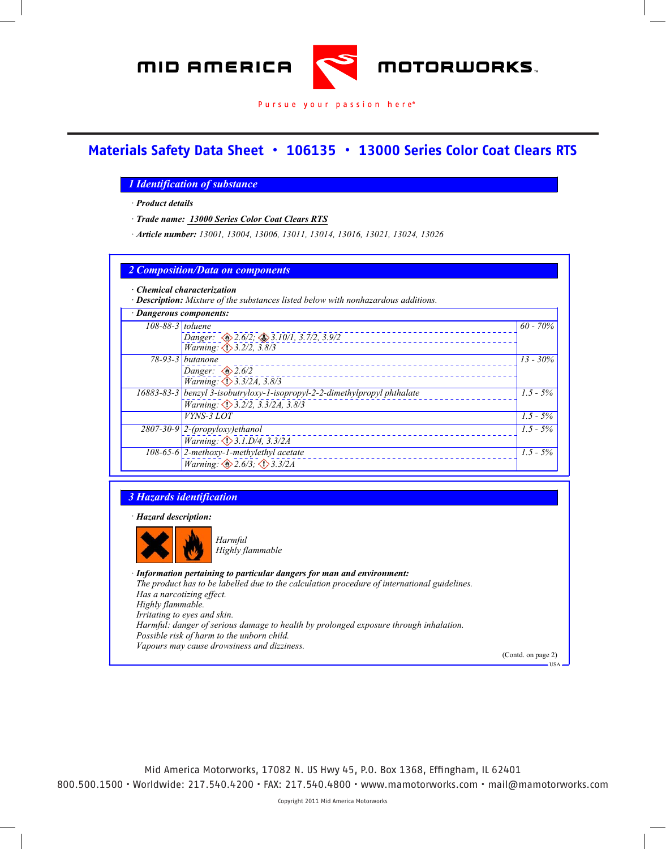

#### Pursue your passion here®

*Material Safety Data Sheet*

#### **Materials Safety Data Sheet • 106135 • 13000 Series Color Coat Clears RTS** *SEM Products Inc. acc. to ISO/DIS 11014 Printing date 11/12/2009 Reviewed on 11/12/2009*

#### *Rock Hill, SC 29730 1 Identification of substance 803 207 8225*

*· Information department: · Product details*

*cust\_care@semproducts.com : SEM Products,Inc. 1685 Overview Dr. Rock Hill, SC 29730 : phone 1-800-831- · Trade name: 13000 Series Color Coat Clears RTS*

*<u><i>1<sup>1</sup>/<sub>1</sub>/<sub>1</sub></sub> - The Theory 12001</u>*</u> *· Emergency information: 24 HR EMERGENCY CHEMTREC 1-800-424-9300 · Article number: 13001, 13004, 13006, 13011, 13014, 13016, 13021, 13024, 13026*

*· Article number: 13001, 13004, 13006, 13011, 13014, 13016, 13021, 13024, 13026*

|                         | $\cdot$ Chemical characterization<br>· Description: Mixture of the substances listed below with nonhazardous additions. |             |  |  |
|-------------------------|-------------------------------------------------------------------------------------------------------------------------|-------------|--|--|
| · Dangerous components: |                                                                                                                         |             |  |  |
| $108-88-3$ toluene      | Danger: 2.6/2; 3.10/1, 3.7/2, 3.9/2                                                                                     | $60 - 70\%$ |  |  |
|                         | Warning: 3.2/2, 3.8/3<br>78-93-3 butanone<br>Danger: $\otimes$ 2.6/2                                                    | $13 - 30\%$ |  |  |
|                         | Warning: 3.3/2A, 3.8/3<br>16883-83-3 benzyl 3-isobutryloxy-1-isopropyl-2-2-dimethylpropyl phthalate                     | $1.5 - 5\%$ |  |  |
|                         | Warning: 3.2/2, 3.3/2A, 3.8/3<br>VYNS-3 LOT                                                                             | $1.5 - 5\%$ |  |  |
|                         | $2807-30-9$ 2-(propyloxy)ethanol<br>Warning: <b>3.1.D/4, 3.3/2A</b>                                                     | $1.5 - 5\%$ |  |  |
|                         | $108-65-6$ 2-methoxy-1-methylethyl acetate<br>Warning: $\otimes$ 2.6/3; $\otimes$ 3.3/2A                                | $1.5 - 5\%$ |  |  |

#### *16883-83-3 benzyl 3-3-3 benzyl 3-isobutryloxy-1-isopropyl-2-dimethylpropyl-isopropyl phtmalate Warning: 3.2/2, 3.3/2A, 3.8/3*

*· Hazard description: VYNS-3 LOT 1.5 - 5%*



*Harmful* 

*Warning: 3.3/2A, 3.8/3*

*· Information pertaining to particular dangers for man and environment: The product has to be labelled due to the calculation procedure of international guidelines. Has a narcotizing effect. 3 Hazards identification Highly flammable. Irritating to eyes and skin. Harmful: danger of serious damage to health by prolonged exposure through inhalation. Possible risk of harm to the unborn child. Vapours may cause drowsiness and dizziness.* 

Mid America Motorworks, 17082 N. US Hwy 45, P.O. Box 1368, Effingham, IL 62401 800.500.1500 • Worldwide: 217.540.4200 • FAX: 217.540.4800 • www.mamotorworks.com • mail@mamotorworks.com

(Contd. on page 2)

*1.5 - 5%*

USA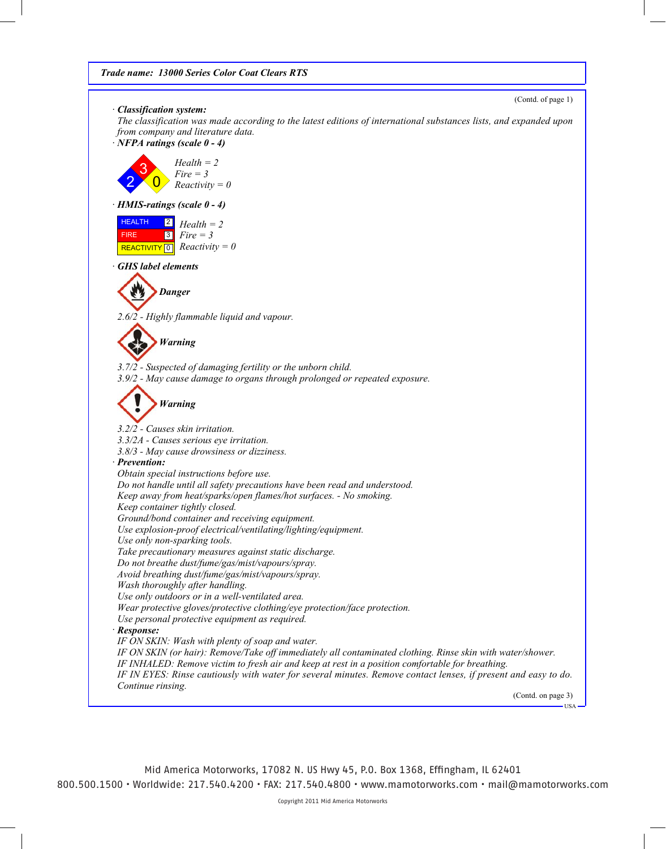(Contd. of page 1)

*· Classification system:*

*The classification was made according to the latest editions of international substances lists, and expanded upon from company and literature data.*

*· NFPA ratings (scale 0 - 4)*



*· HMIS-ratings (scale 0 - 4)*

| <b>HEALTH</b> | $\boxed{2}$ Health = 2                       |
|---------------|----------------------------------------------|
| <b>FIRE</b>   | $3$ Fire = 3                                 |
|               | REACTIVITY $\boxed{0}$ <i>Reactivity</i> = 0 |

*· GHS label elements*



*2.6/2 - Highly flammable liquid and vapour.*

*Warning*

*3.7/2 - Suspected of damaging fertility or the unborn child. 3.9/2 - May cause damage to organs through prolonged or repeated exposure.*

```
Warning
```
*3.2/2 - Causes skin irritation. 3.3/2A - Causes serious eye irritation. 3.8/3 - May cause drowsiness or dizziness. · Prevention: Obtain special instructions before use. Do not handle until all safety precautions have been read and understood. Keep away from heat/sparks/open flames/hot surfaces. - No smoking. Keep container tightly closed. Ground/bond container and receiving equipment. Use explosion-proof electrical/ventilating/lighting/equipment. Use only non-sparking tools. Take precautionary measures against static discharge. Do not breathe dust/fume/gas/mist/vapours/spray. Avoid breathing dust/fume/gas/mist/vapours/spray. Wash thoroughly after handling. Use only outdoors or in a well-ventilated area. Wear protective gloves/protective clothing/eye protection/face protection. Use personal protective equipment as required. · Response: IF ON SKIN: Wash with plenty of soap and water. IF ON SKIN (or hair): Remove/Take off immediately all contaminated clothing. Rinse skin with water/shower. IF INHALED: Remove victim to fresh air and keep at rest in a position comfortable for breathing. IF IN EYES: Rinse cautiously with water for several minutes. Remove contact lenses, if present and easy to do. Continue rinsing.*

(Contd. on page 3)

USA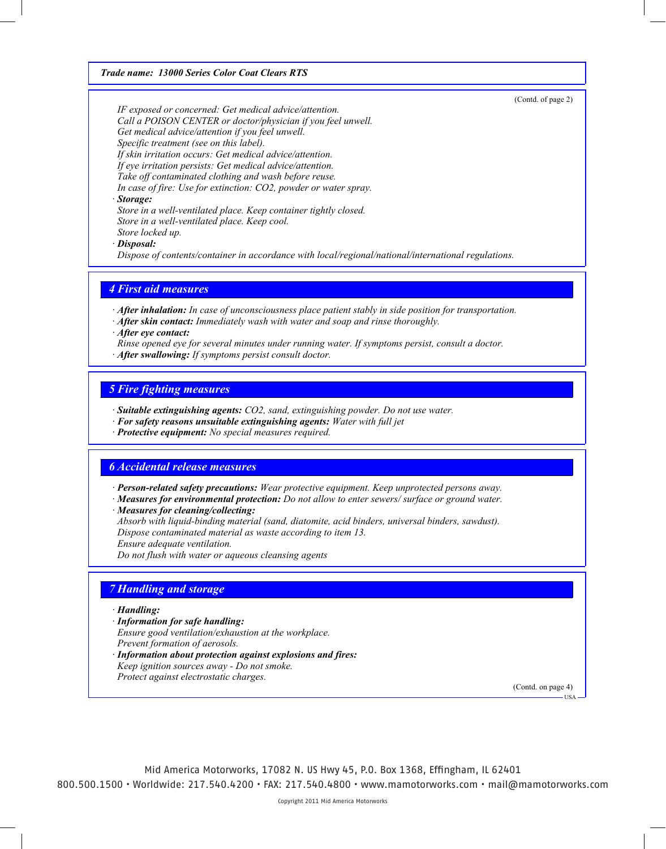*Trade name: 13000 Series Color Coat Clears RTS*

(Contd. of page 2)

*IF exposed or concerned: Get medical advice/attention. Call a POISON CENTER or doctor/physician if you feel unwell. Get medical advice/attention if you feel unwell. Specific treatment (see on this label). If skin irritation occurs: Get medical advice/attention. If eye irritation persists: Get medical advice/attention. Take off contaminated clothing and wash before reuse. In case of fire: Use for extinction: CO2, powder or water spray.*

*· Storage:*

*Store in a well-ventilated place. Keep container tightly closed. Store in a well-ventilated place. Keep cool. Store locked up.*

*· Disposal:*

*Dispose of contents/container in accordance with local/regional/national/international regulations.*

## *4 First aid measures*

*· After inhalation: In case of unconsciousness place patient stably in side position for transportation.*

- *· After skin contact: Immediately wash with water and soap and rinse thoroughly.*
- *· After eye contact:*
- *Rinse opened eye for several minutes under running water. If symptoms persist, consult a doctor.*
- *· After swallowing: If symptoms persist consult doctor.*

### *5 Fire fighting measures*

- *· Suitable extinguishing agents: CO2, sand, extinguishing powder. Do not use water.*
- *· For safety reasons unsuitable extinguishing agents: Water with full jet*
- *· Protective equipment: No special measures required.*

### *6 Accidental release measures*

- *· Person-related safety precautions: Wear protective equipment. Keep unprotected persons away.*
- *· Measures for environmental protection: Do not allow to enter sewers/ surface or ground water.*
- *· Measures for cleaning/collecting:*
- *Absorb with liquid-binding material (sand, diatomite, acid binders, universal binders, sawdust).*
- *Dispose contaminated material as waste according to item 13.*
- *Ensure adequate ventilation.*
- *Do not flush with water or aqueous cleansing agents*

# *7 Handling and storage*

### *· Handling:*

- *· Information for safe handling:*
- *Ensure good ventilation/exhaustion at the workplace.*
- *Prevent formation of aerosols.*
- *· Information about protection against explosions and fires:*
- *Keep ignition sources away Do not smoke.*
- *Protect against electrostatic charges.*

(Contd. on page 4)

USA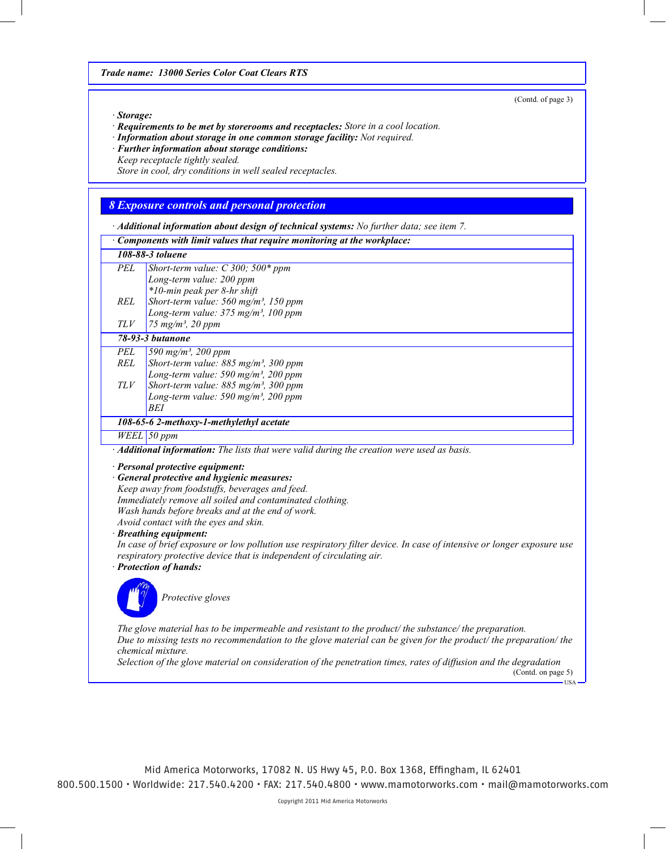(Contd. of page 3)

USA

#### *· Storage:*

*· Requirements to be met by storerooms and receptacles: Store in a cool location.*

*· Information about storage in one common storage facility: Not required.*

*· Further information about storage conditions:*

*Keep receptacle tightly sealed.*

*Store in cool, dry conditions in well sealed receptacles.*

## *8 Exposure controls and personal protection*

*· Additional information about design of technical systems: No further data; see item 7.*

|            | $\cdot$ Additional information about design of technical systems: No further data; see item 7.                                       |  |
|------------|--------------------------------------------------------------------------------------------------------------------------------------|--|
|            | Components with limit values that require monitoring at the workplace:                                                               |  |
|            | 108-88-3 toluene                                                                                                                     |  |
| <b>PEL</b> | Short-term value: $C$ 300; 500* ppm                                                                                                  |  |
|            | Long-term value: 200 ppm                                                                                                             |  |
|            | *10-min peak per 8-hr shift                                                                                                          |  |
| <b>REL</b> | Short-term value: 560 mg/m <sup>3</sup> , 150 ppm                                                                                    |  |
|            | Long-term value: 375 mg/m <sup>3</sup> , 100 ppm                                                                                     |  |
| TLV        | 75 mg/m <sup>3</sup> , 20 ppm                                                                                                        |  |
|            | 78-93-3 butanone                                                                                                                     |  |
| <b>PEL</b> | 590 mg/m <sup>3</sup> , 200 ppm                                                                                                      |  |
| <b>REL</b> | Short-term value: 885 mg/m <sup>3</sup> , 300 ppm                                                                                    |  |
|            | Long-term value: 590 mg/m <sup>3</sup> , 200 ppm                                                                                     |  |
| TLV        | Short-term value: $885$ mg/m <sup>3</sup> , 300 ppm                                                                                  |  |
|            | Long-term value: 590 mg/m <sup>3</sup> , 200 ppm                                                                                     |  |
|            | <b>BEI</b>                                                                                                                           |  |
|            | 108-65-6 2-methoxy-1-methylethyl acetate                                                                                             |  |
|            | $WELL$ 50 ppm                                                                                                                        |  |
|            | Additional information: The lists that were valid during the creation were used as basis.                                            |  |
|            | · Personal protective equipment:                                                                                                     |  |
|            | <b>General protective and hygienic measures:</b>                                                                                     |  |
|            | Keep away from foodstuffs, beverages and feed.                                                                                       |  |
|            | Immediately remove all soiled and contaminated clothing.                                                                             |  |
|            | Wash hands before breaks and at the end of work.                                                                                     |  |
|            | Avoid contact with the eyes and skin.                                                                                                |  |
|            | <b>Breathing equipment:</b>                                                                                                          |  |
|            | In case of brief exposure or low pollution use respiratory filter device. In case of intensive or longer exposure use                |  |
|            | respiratory protective device that is independent of circulating air.                                                                |  |
|            | · Protection of hands:                                                                                                               |  |
|            |                                                                                                                                      |  |
|            | Protective gloves                                                                                                                    |  |
|            |                                                                                                                                      |  |
|            |                                                                                                                                      |  |
|            | The glove material has to be impermeable and resistant to the product/ the substance/ the preparation.                               |  |
|            | Due to missing tests no recommendation to the glove material can be given for the product/ the preparation/ the<br>chemical mixture. |  |
|            | Selection of the glove material on consideration of the penetration times, rates of diffusion and the degradation                    |  |
|            | (Contd. on page 5)                                                                                                                   |  |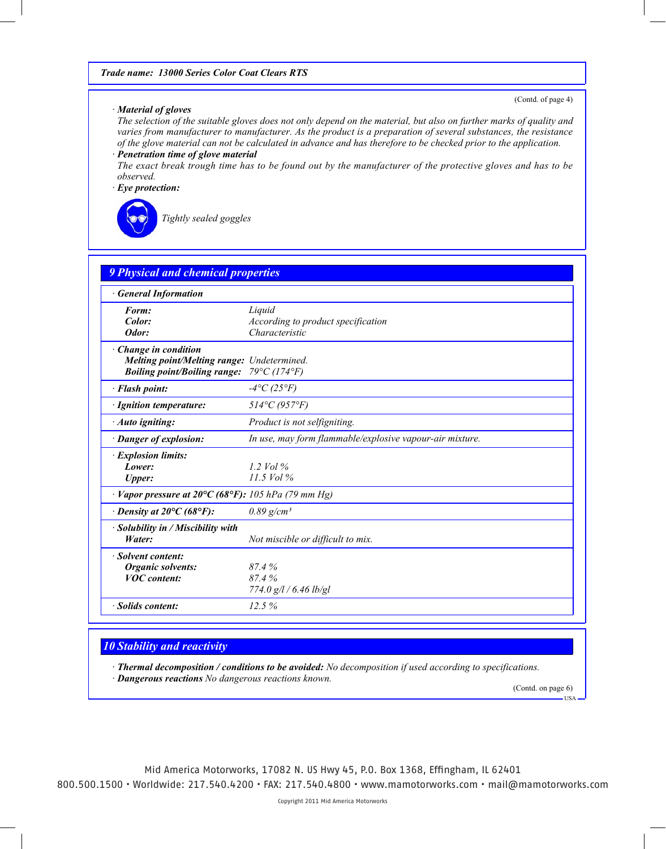### *· Material of gloves*

*The selection of the suitable gloves does not only depend on the material, but also on further marks of quality and varies from manufacturer to manufacturer. As the product is a preparation of several substances, the resistance of the glove material can not be calculated in advance and has therefore to be checked prior to the application.*

*· Penetration time of glove material*

*The exact break trough time has to be found out by the manufacturer of the protective gloves and has to be observed.*

*· Eye protection:*



*Tightly sealed goggles*

| <b>General Information</b>                                             |                                                          |
|------------------------------------------------------------------------|----------------------------------------------------------|
| Form:                                                                  | Liquid                                                   |
| Color:                                                                 | According to product specification                       |
| Odor:                                                                  | Characteristic                                           |
| · Change in condition                                                  |                                                          |
| Melting point/Melting range: Undetermined.                             |                                                          |
| <b>Boiling point/Boiling range:</b>                                    | $79^{\circ}C(174^{\circ}F)$                              |
| · Flash point:                                                         | $-4$ °C (25°F)                                           |
| · Ignition temperature:                                                | $514^{\circ}C(957^{\circ}F)$                             |
| · Auto igniting:                                                       | Product is not selfigniting.                             |
| · Danger of explosion:                                                 | In use, may form flammable/explosive vapour-air mixture. |
| · Explosion limits:                                                    |                                                          |
| Lower:                                                                 | 1.2 Vol $\%$                                             |
| <b>Upper:</b>                                                          | $11.5$ Vol $%$                                           |
| $\cdot$ Vapor pressure at 20°C (68°F): 105 hPa (79 mm Hg)              |                                                          |
| $\cdot$ Density at 20 $\mathrm{^{\circ}C}$ (68 $\mathrm{^{\circ}F}$ ): | $0.89$ g/cm <sup>3</sup>                                 |
| · Solubility in / Miscibility with                                     |                                                          |
| Water:                                                                 | Not miscible or difficult to mix.                        |
| · Solvent content:                                                     |                                                          |
| <b>Organic solvents:</b>                                               | 87.4%                                                    |
| <b>VOC</b> content:                                                    | 87.4%                                                    |
|                                                                        | $774.0$ g/l / 6.46 lb/gl                                 |
| · Solids content:                                                      | 12.5%                                                    |

### *10 Stability and reactivity*

*· Thermal decomposition / conditions to be avoided: No decomposition if used according to specifications. · Dangerous reactions No dangerous reactions known.*

(Contd. on page 6)

USA

(Contd. of page 4)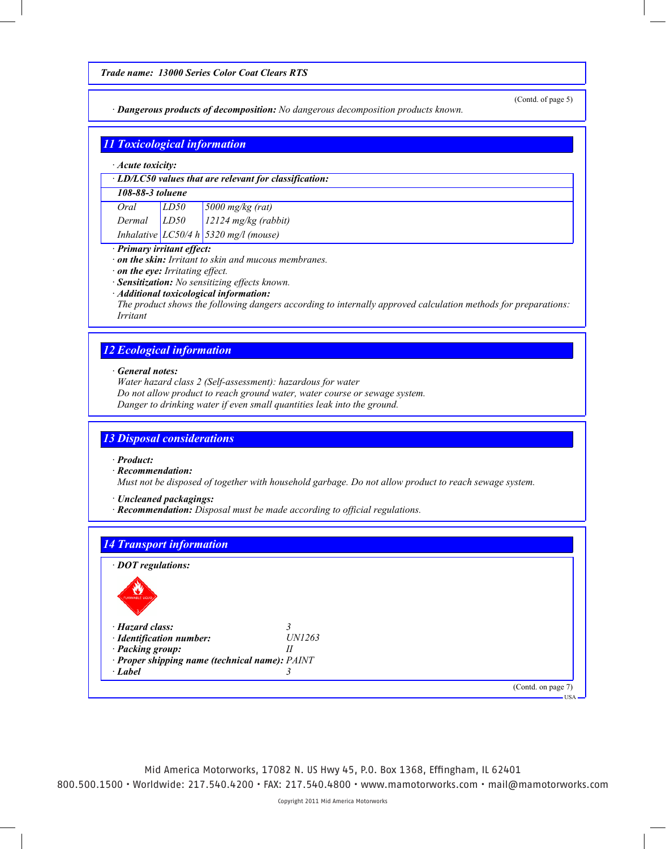*· Dangerous products of decomposition: No dangerous decomposition products known.*

(Contd. of page 5)

| $\cdot$ Acute toxicity: |      |                                                              |
|-------------------------|------|--------------------------------------------------------------|
|                         |      | $\cdot$ LD/LC50 values that are relevant for classification: |
| 108-88-3 toluene        |      |                                                              |
| Oral                    | LD50 | $5000$ mg/kg (rat)                                           |
| Dermal                  | LD50 | $12124$ mg/kg (rabbit)                                       |
|                         |      | Inhalative $LC50/4 h$ 5320 mg/l (mouse)                      |

- *· on the eye: Irritating effect.*
- *· Sensitization: No sensitizing effects known.*
- *· Additional toxicological information:*

*The product shows the following dangers according to internally approved calculation methods for preparations: Irritant*

## *12 Ecological information*

*· General notes:*

*Water hazard class 2 (Self-assessment): hazardous for water*

*Do not allow product to reach ground water, water course or sewage system.*

*Danger to drinking water if even small quantities leak into the ground.*

### *13 Disposal considerations*

*· Product:*

*· Recommendation:*

*Must not be disposed of together with household garbage. Do not allow product to reach sewage system.*

*· Uncleaned packagings:*

*· Recommendation: Disposal must be made according to official regulations.*

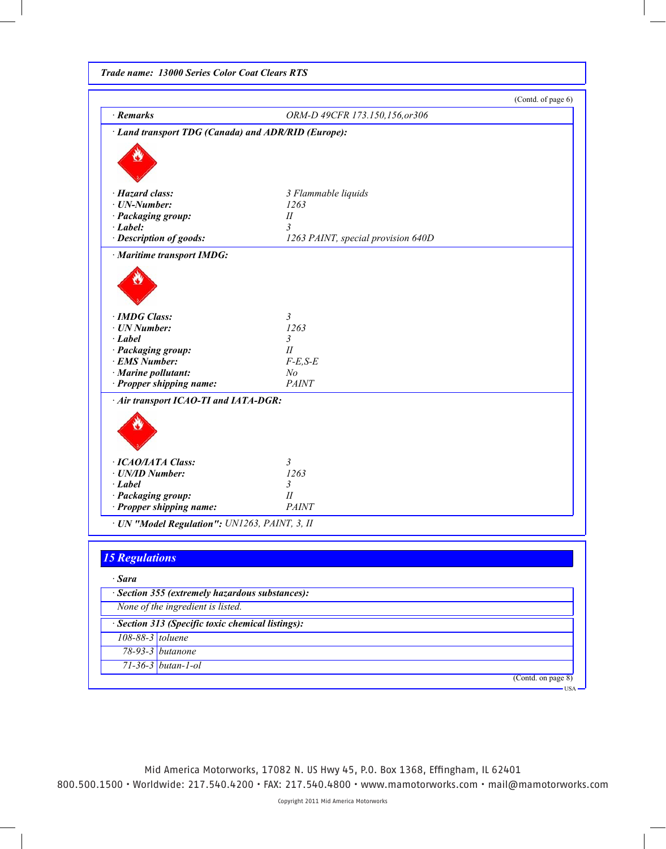*Trade name: 13000 Series Color Coat Clears RTS*

|                                                     |                                    | (Contd. of page 6) |
|-----------------------------------------------------|------------------------------------|--------------------|
| · Remarks                                           | ORM-D 49CFR 173.150,156,or306      |                    |
| · Land transport TDG (Canada) and ADR/RID (Europe): |                                    |                    |
|                                                     |                                    |                    |
|                                                     |                                    |                    |
|                                                     |                                    |                    |
| · Hazard class:                                     | 3 Flammable liquids                |                    |
| $\cdot$ UN-Number:                                  | 1263                               |                    |
| · Packaging group:                                  | $I\!I$                             |                    |
| $\cdot$ Label:                                      | 3                                  |                    |
| · Description of goods:                             | 1263 PAINT, special provision 640D |                    |
| · Maritime transport IMDG:                          |                                    |                    |
|                                                     |                                    |                    |
|                                                     |                                    |                    |
|                                                     |                                    |                    |
|                                                     |                                    |                    |
| · IMDG Class:                                       | 3                                  |                    |
| · UN Number:<br>$\cdot$ Label                       | 1263<br>$\mathfrak{Z}$             |                    |
| · Packaging group:                                  | $I\!I$                             |                    |
| · EMS Number:                                       | $F-E,S-E$                          |                    |
| $\cdot$ Marine pollutant:                           | N <sub>o</sub>                     |                    |
| · Propper shipping name:                            | <b>PAINT</b>                       |                    |
|                                                     |                                    |                    |
| · Air transport ICAO-TI and IATA-DGR:               |                                    |                    |
|                                                     |                                    |                    |
|                                                     |                                    |                    |
|                                                     |                                    |                    |
|                                                     |                                    |                    |
| · ICAO/IATA Class:<br>· UN/ID Number:               | $\mathfrak{Z}$<br>1263             |                    |
| $\cdot$ Label                                       | $\mathfrak{Z}$                     |                    |
| · Packaging group:                                  | $I\!I$                             |                    |
| · Propper shipping name:                            | <b>PAINT</b>                       |                    |
| · UN "Model Regulation": UN1263, PAINT, 3, II       |                                    |                    |
|                                                     |                                    |                    |
| <b>15 Regulations</b>                               |                                    |                    |
|                                                     |                                    |                    |
| · Sara                                              |                                    |                    |
| · Section 355 (extremely hazardous substances):     |                                    |                    |
| None of the ingredient is listed.                   |                                    |                    |
| · Section 313 (Specific toxic chemical listings):   |                                    |                    |
| 108-88-3 toluene                                    |                                    |                    |
| 78-93-3 <i>butanone</i>                             |                                    |                    |
|                                                     |                                    |                    |
| $71-36-3$ butan-1-ol                                |                                    |                    |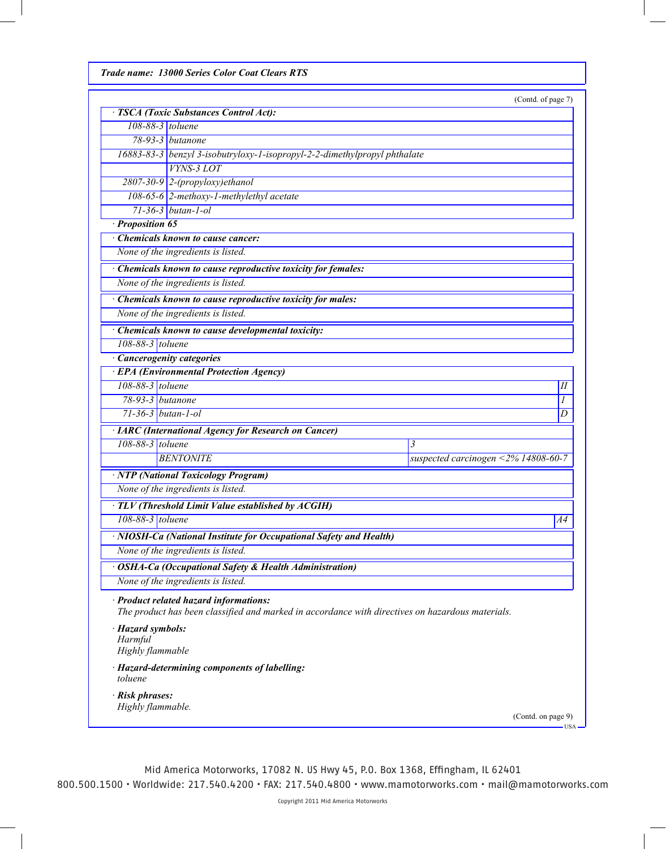*Trade name: 13000 Series Color Coat Clears RTS*

(Contd. of page 7)

| · TSCA (Toxic Substances Control Act):                                                                                                     |                                     |  |  |
|--------------------------------------------------------------------------------------------------------------------------------------------|-------------------------------------|--|--|
| 108-88-3 toluene                                                                                                                           |                                     |  |  |
| 78-93-3 butanone                                                                                                                           |                                     |  |  |
| 16883-83-3 benzyl 3-isobutryloxy-1-isopropyl-2-2-dimethylpropyl phthalate                                                                  |                                     |  |  |
| <b>VYNS-3 LOT</b>                                                                                                                          |                                     |  |  |
| $2807-30-9$ 2-(propyloxy)ethanol                                                                                                           |                                     |  |  |
| 108-65-6 2-methoxy-1-methylethyl acetate                                                                                                   |                                     |  |  |
| $71-36-3$ butan-1-ol                                                                                                                       |                                     |  |  |
| · Proposition 65                                                                                                                           |                                     |  |  |
| Chemicals known to cause cancer:                                                                                                           |                                     |  |  |
| None of the ingredients is listed.                                                                                                         |                                     |  |  |
| · Chemicals known to cause reproductive toxicity for females:                                                                              |                                     |  |  |
| None of the ingredients is listed.                                                                                                         |                                     |  |  |
| · Chemicals known to cause reproductive toxicity for males:                                                                                |                                     |  |  |
| None of the ingredients is listed.                                                                                                         |                                     |  |  |
| · Chemicals known to cause developmental toxicity:                                                                                         |                                     |  |  |
| $108-88-3$ toluene                                                                                                                         |                                     |  |  |
| · Cancerogenity categories                                                                                                                 |                                     |  |  |
| · EPA (Environmental Protection Agency)                                                                                                    |                                     |  |  |
| 108-88-3 toluene                                                                                                                           | $I\!I$                              |  |  |
| 78-93-3 butanone                                                                                                                           | 1                                   |  |  |
| $71 - 36 - 3$ butan-1-ol                                                                                                                   | D                                   |  |  |
| · IARC (International Agency for Research on Cancer)                                                                                       |                                     |  |  |
| 108-88-3 toluene<br>3                                                                                                                      |                                     |  |  |
| <b>BENTONITE</b>                                                                                                                           | suspected carcinogen <2% 14808-60-7 |  |  |
| · NTP (National Toxicology Program)                                                                                                        |                                     |  |  |
| None of the ingredients is listed.                                                                                                         |                                     |  |  |
| · TLV (Threshold Limit Value established by ACGIH)                                                                                         |                                     |  |  |
| 108-88-3 toluene                                                                                                                           | A4                                  |  |  |
| · NIOSH-Ca (National Institute for Occupational Safety and Health)                                                                         |                                     |  |  |
| None of the ingredients is listed.                                                                                                         |                                     |  |  |
|                                                                                                                                            |                                     |  |  |
| · OSHA-Ca (Occupational Safety & Health Administration)<br>None of the ingredients is listed.                                              |                                     |  |  |
|                                                                                                                                            |                                     |  |  |
| · Product related hazard informations:<br>The product has been classified and marked in accordance with directives on hazardous materials. |                                     |  |  |
| · Hazard symbols:<br>Harmful                                                                                                               |                                     |  |  |
| Highly flammable                                                                                                                           |                                     |  |  |
| · Hazard-determining components of labelling:<br>toluene                                                                                   |                                     |  |  |
| · Risk phrases:                                                                                                                            |                                     |  |  |
| Highly flammable.                                                                                                                          |                                     |  |  |
|                                                                                                                                            | (Contd. on page 9)<br>$USA -$       |  |  |

Mid America Motorworks, 17082 N. US Hwy 45, P.O. Box 1368, Effingham, IL 62401

800.500.1500 • Worldwide: 217.540.4200 • FAX: 217.540.4800 • www.mamotorworks.com • mail@mamotorworks.com